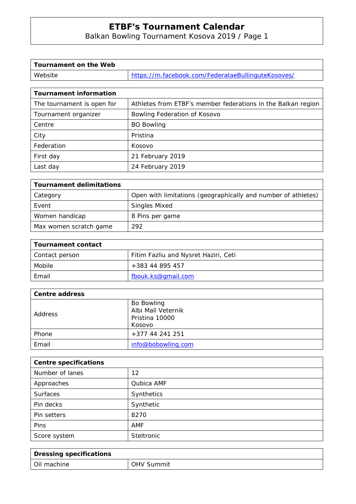# **ETBF's Tournament Calendar**

Balkan Bowling Tournament Kosova 2019 / Page 1

| Tournament on the Web |                                                    |
|-----------------------|----------------------------------------------------|
| Website               | https://m.facebook.com/FederataeBullinguteKosoves/ |

| <b>Tournament information</b> |                                                              |
|-------------------------------|--------------------------------------------------------------|
| The tournament is open for    | Athletes from ETBF's member federations in the Balkan region |
| Tournament organizer          | Bowling Federation of Kosovo                                 |
| Centre                        | <b>BO Bowling</b>                                            |
| City                          | Pristina                                                     |
| Federation                    | Kosovo                                                       |
| First day                     | 21 February 2019                                             |
| Last day                      | 24 February 2019                                             |

| <b>Tournament delimitations</b> |                                                               |
|---------------------------------|---------------------------------------------------------------|
| Category                        | Open with limitations (geographically and number of athletes) |
| Event                           | <b>Singles Mixed</b>                                          |
| Women handicap                  | 8 Pins per game                                               |
| Max women scratch game          | 292                                                           |

| Tournament contact |                                      |  |
|--------------------|--------------------------------------|--|
| Contact person     | Fitim Fazliu and Nysret Haziri, Ceti |  |
| Mobile             | +383 44 895 457                      |  |
| Email              | fbouk.ks@gmail.com                   |  |

| Centre address |                                                              |
|----------------|--------------------------------------------------------------|
| Address        | Bo Bowling<br>Albi Mall Veternik<br>Pristina 10000<br>Kosovo |
| Phone          | +377 44 241 251                                              |
| Email          | info@bobowling.com                                           |

| <b>Centre specifications</b> |            |  |
|------------------------------|------------|--|
| Number of lanes              | 12         |  |
| Approaches                   | Qubica AMF |  |
| <b>Surfaces</b>              | Synthetics |  |
| Pin decks                    | Synthetic  |  |
| Pin setters                  | 8270       |  |
| <b>Pins</b>                  | AMF        |  |
| Score system                 | Steltronic |  |

| <b>Dressing specifications</b> |                   |
|--------------------------------|-------------------|
| ∣ Oil machine                  | <b>OHV Summit</b> |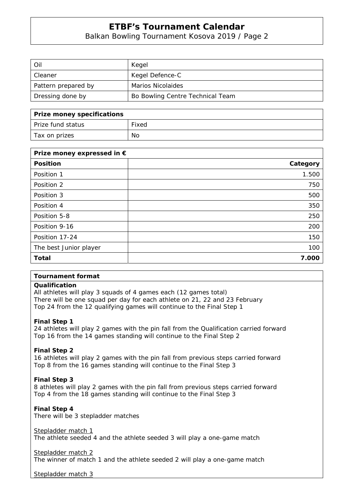# **ETBF's Tournament Calendar**

# Balkan Bowling Tournament Kosova 2019 / Page 2

| Oil                 | Kegel                            |
|---------------------|----------------------------------|
| Cleaner             | Kegel Defence-C                  |
| Pattern prepared by | Marios Nicolaides                |
| Dressing done by    | Bo Bowling Centre Technical Team |

| Prize money specifications |       |
|----------------------------|-------|
| Prize fund status          | Fixed |
| Tax on prizes              | No    |

| Prize money expressed in € |          |
|----------------------------|----------|
| <b>Position</b>            | Category |
| Position 1                 | 1.500    |
| Position 2                 | 750      |
| Position 3                 | 500      |
| Position 4                 | 350      |
| Position 5-8               | 250      |
| Position 9-16              | 200      |
| Position 17-24             | 150      |
| The best Junior player     | 100      |
| <b>Total</b>               | 7.000    |

# **Tournament format**

# **Qualification**

All athletes will play 3 squads of 4 games each (12 games total) There will be one squad per day for each athlete on 21, 22 and 23 February Top 24 from the 12 qualifying games will continue to the Final Step 1

# **Final Step 1**

24 athletes will play 2 games with the pin fall from the Qualification carried forward Top 16 from the 14 games standing will continue to the Final Step 2

# **Final Step 2**

16 athletes will play 2 games with the pin fall from previous steps carried forward Top 8 from the 16 games standing will continue to the Final Step 3

# **Final Step 3**

8 athletes will play 2 games with the pin fall from previous steps carried forward Top 4 from the 18 games standing will continue to the Final Step 3

# **Final Step 4**

There will be 3 stepladder matches

Stepladder match 1

The athlete seeded 4 and the athlete seeded 3 will play a one-game match

# Stepladder match 2

The winner of match 1 and the athlete seeded 2 will play a one-game match

Stepladder match 3